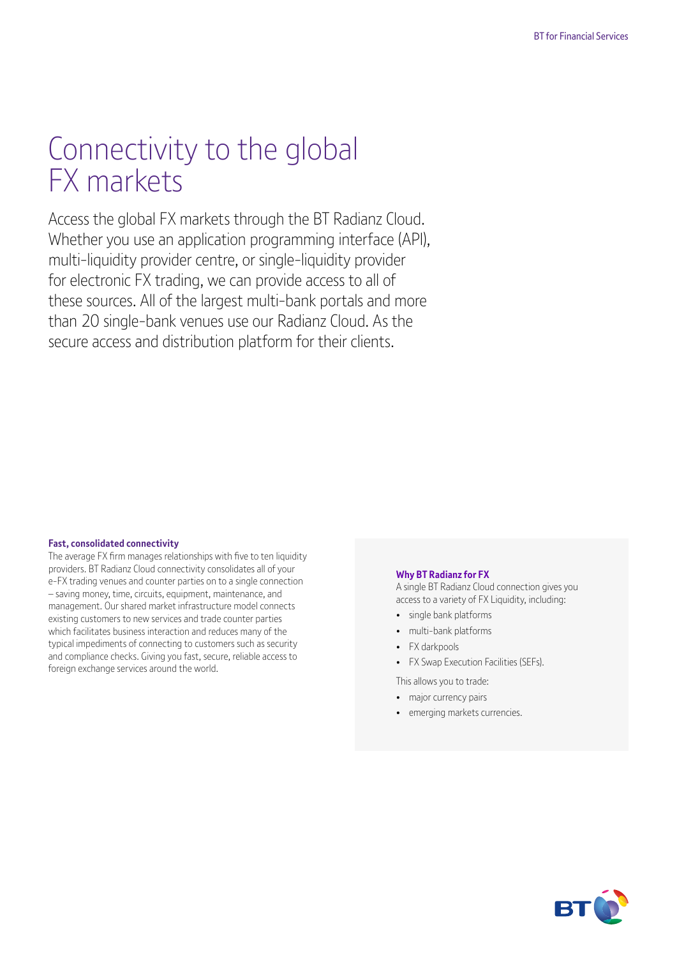# Connectivity to the global FX markets

Access the global FX markets through the BT Radianz Cloud. Whether you use an application programming interface (API), multi-liquidity provider centre, or single-liquidity provider for electronic FX trading, we can provide access to all of these sources. All of the largest multi-bank portals and more than 20 single-bank venues use our Radianz Cloud. As the secure access and distribution platform for their clients.

#### **Fast, consolidated connectivity**

The average FX firm manages relationships with five to ten liquidity providers. BT Radianz Cloud connectivity consolidates all of your e-FX trading venues and counter parties on to a single connection – saving money, time, circuits, equipment, maintenance, and management. Our shared market infrastructure model connects existing customers to new services and trade counter parties which facilitates business interaction and reduces many of the typical impediments of connecting to customers such as security and compliance checks. Giving you fast, secure, reliable access to foreign exchange services around the world.

#### **Why BT Radianz for FX**

A single BT Radianz Cloud connection gives you access to a variety of FX Liquidity, including:

- single bank platforms
- multi-bank platforms
- FX darkpools
- FX Swap Execution Facilities (SEFs).

This allows you to trade:

- major currency pairs
- emerging markets currencies.